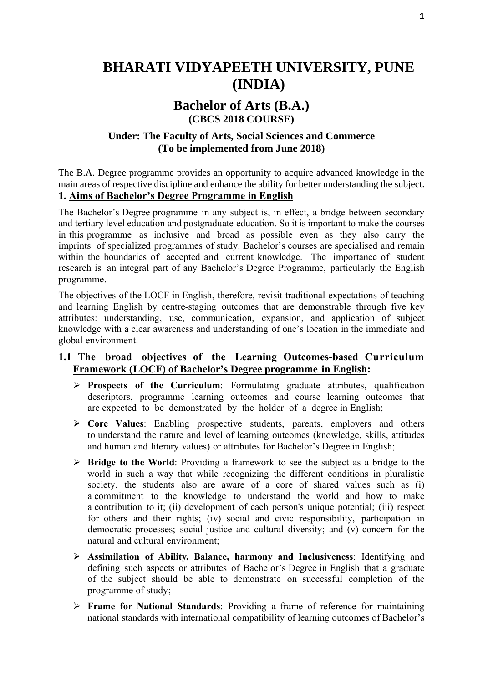# **BHARATI VIDYAPEETH UNIVERSITY, PUNE (INDIA)**

# **Bachelor of Arts (B.A.) (CBCS 2018 COURSE)**

## **Under: The Faculty of Arts, Social Sciences and Commerce (To be implemented from June 2018)**

The B.A. Degree programme provides an opportunity to acquire advanced knowledge in the main areas of respective discipline and enhance the ability for better understanding the subject. **1. Aims of Bachelor's Degree Programme in English**

The Bachelor's Degree programme in any subject is, in effect, a bridge between secondary and tertiary level education and postgraduate education. So it is important to make the courses in this programme as inclusive and broad as possible even as they also carry the imprints of specialized programmes of study. Bachelor's courses are specialised and remain within the boundaries of accepted and current knowledge. The importance of student research is an integral part of any Bachelor's Degree Programme, particularly the English programme.

The objectives of the LOCF in English, therefore, revisit traditional expectations of teaching and learning English by centre-staging outcomes that are demonstrable through five key attributes: understanding, use, communication, expansion, and application of subject knowledge with a clear awareness and understanding of one's location in the immediate and global environment.

## **1.1 The broad objectives of the Learning Outcomes-based Curriculum Framework (LOCF) of Bachelor's Degree programme in English:**

- **Prospects of the Curriculum**: Formulating graduate attributes, qualification descriptors, programme learning outcomes and course learning outcomes that are expected to be demonstrated by the holder of a degree in English;
- **Core Values**: Enabling prospective students, parents, employers and others to understand the nature and level of learning outcomes (knowledge, skills, attitudes and human and literary values) or attributes for Bachelor's Degree in English;
- **Bridge to the World**: Providing a framework to see the subject as a bridge to the world in such a way that while recognizing the different conditions in pluralistic society, the students also are aware of a core of shared values such as (i) a commitment to the knowledge to understand the world and how to make a contribution to it; (ii) development of each person's unique potential; (iii) respect for others and their rights; (iv) social and civic responsibility, participation in democratic processes; social justice and cultural diversity; and (v) concern for the natural and cultural environment;
- **Assimilation of Ability, Balance, harmony and Inclusiveness**: Identifying and defining such aspects or attributes of Bachelor's Degree in English that a graduate of the subject should be able to demonstrate on successful completion of the programme of study;
- **Frame for National Standards**: Providing a frame of reference for maintaining national standards with international compatibility of learning outcomes of Bachelor's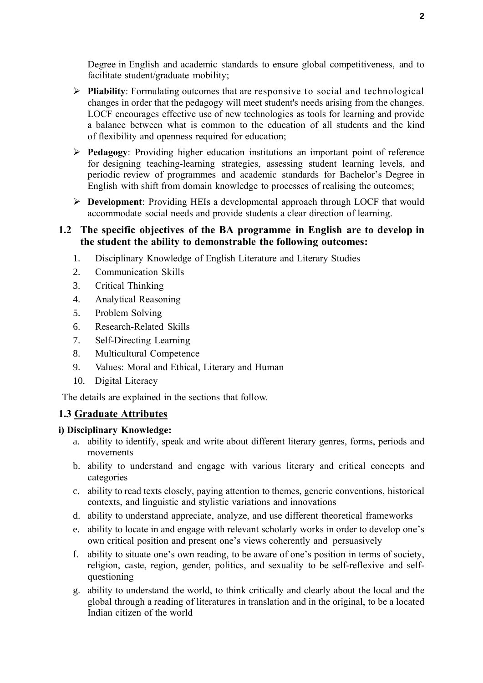Degree in English and academic standards to ensure global competitiveness, and to facilitate student/graduate mobility;

- **Pliability**: Formulating outcomes that are responsive to social and technological changes in order that the pedagogy will meet student's needs arising from the changes. LOCF encourages effective use of new technologies as tools for learning and provide a balance between what is common to the education of all students and the kind of flexibility and openness required for education;
- **Pedagogy**: Providing higher education institutions an important point of reference for designing teaching-learning strategies, assessing student learning levels, and periodic review of programmes and academic standards for Bachelor's Degree in English with shift from domain knowledge to processes of realising the outcomes;
- **Development**: Providing HEIs a developmental approach through LOCF that would accommodate social needs and provide students a clear direction of learning.

## **1.2 The specific objectives of the BA programme in English are to develop in the student the ability to demonstrable the following outcomes:**

- 1. Disciplinary Knowledge of English Literature and Literary Studies
- 2. Communication Skills
- 3. Critical Thinking
- 4. Analytical Reasoning
- 5. Problem Solving
- 6. Research-Related Skills
- 7. Self-Directing Learning
- 8. Multicultural Competence
- 9. Values: Moral and Ethical, Literary and Human
- 10. Digital Literacy

The details are explained in the sections that follow.

## **1.3 Graduate Attributes**

## **i) Disciplinary Knowledge:**

- a. ability to identify, speak and write about different literary genres, forms, periods and movements
- b. ability to understand and engage with various literary and critical concepts and categories
- c. ability to read texts closely, paying attention to themes, generic conventions, historical contexts, and linguistic and stylistic variations and innovations
- d. ability to understand appreciate, analyze, and use different theoretical frameworks
- e. ability to locate in and engage with relevant scholarly works in order to develop one's own critical position and present one's views coherently and persuasively
- f. ability to situate one's own reading, to be aware of one's position in terms of society, religion, caste, region, gender, politics, and sexuality to be self-reflexive and selfquestioning
- g. ability to understand the world, to think critically and clearly about the local and the global through a reading of literatures in translation and in the original, to be a located Indian citizen of the world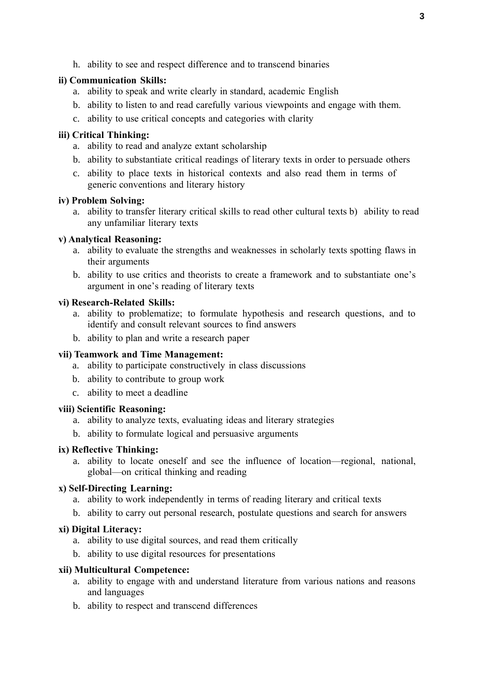h. ability to see and respect difference and to transcend binaries

## **ii) Communication Skills:**

- a. ability to speak and write clearly in standard, academic English
- b. ability to listen to and read carefully various viewpoints and engage with them.
- c. ability to use critical concepts and categories with clarity

## **iii) Critical Thinking:**

- a. ability to read and analyze extant scholarship
- b. ability to substantiate critical readings of literary texts in order to persuade others
- c. ability to place texts in historical contexts and also read them in terms of generic conventions and literary history

## **iv) Problem Solving:**

a. ability to transfer literary critical skills to read other cultural texts b) ability to read any unfamiliar literary texts

## **v) Analytical Reasoning:**

- a. ability to evaluate the strengths and weaknesses in scholarly texts spotting flaws in their arguments
- b. ability to use critics and theorists to create a framework and to substantiate one's argument in one's reading of literary texts

## **vi) Research-Related Skills:**

- a. ability to problematize; to formulate hypothesis and research questions, and to identify and consult relevant sources to find answers
- b. ability to plan and write a research paper

## **vii) Teamwork and Time Management:**

- a. ability to participate constructively in class discussions
- b. ability to contribute to group work
- c. ability to meet a deadline

## **viii) Scientific Reasoning:**

- a. ability to analyze texts, evaluating ideas and literary strategies
- b. ability to formulate logical and persuasive arguments

## **ix) Reflective Thinking:**

a. ability to locate oneself and see the influence of location—regional, national, global—on critical thinking and reading

## **x) Self-Directing Learning:**

- a. ability to work independently in terms of reading literary and critical texts
- b. ability to carry out personal research, postulate questions and search for answers

## **xi) Digital Literacy:**

- a. ability to use digital sources, and read them critically
- b. ability to use digital resources for presentations

## **xii) Multicultural Competence:**

- a. ability to engage with and understand literature from various nations and reasons and languages
- b. ability to respect and transcend differences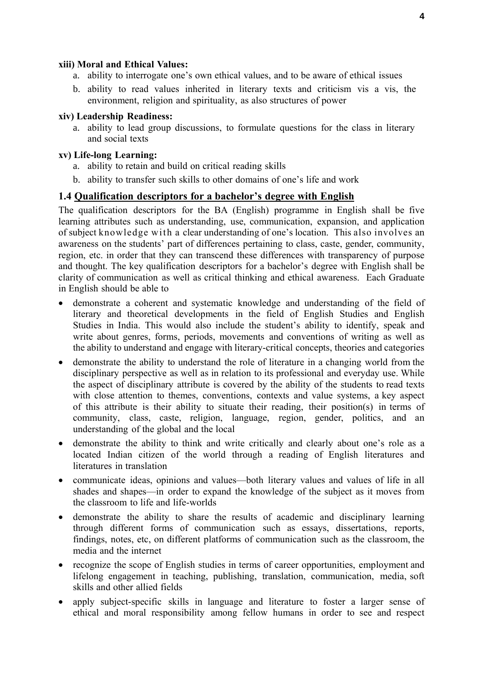## **xiii) Moral and Ethical Values:**

- a. ability to interrogate one's own ethical values, and to be aware of ethical issues
- b. ability to read values inherited in literary texts and criticism vis a vis, the environment, religion and spirituality, as also structures of power

#### **xiv) Leadership Readiness:**

a. ability to lead group discussions, to formulate questions for the class in literary and social texts

#### **xv) Life-long Learning:**

- a. ability to retain and build on critical reading skills
- b. ability to transfer such skills to other domains of one's life and work

## **1.4 Qualification descriptors for a bachelor's degree with English**

The qualification descriptors for the BA (English) programme in English shall be five learning attributes such as understanding, use, communication, expansion, and application of subject knowledge with a clear understanding of one's location. This also involves an awareness on the students' part of differences pertaining to class, caste, gender, community, region, etc. in order that they can transcend these differences with transparency of purpose and thought. The key qualification descriptors for a bachelor's degree with English shall be clarity of communication as well as critical thinking and ethical awareness. Each Graduate in English should be able to

- demonstrate a coherent and systematic knowledge and understanding of the field of literary and theoretical developments in the field of English Studies and English Studies in India. This would also include the student's ability to identify, speak and write about genres, forms, periods, movements and conventions of writing as well as the ability to understand and engage with literary-critical concepts, theories and categories
- demonstrate the ability to understand the role of literature in a changing world from the disciplinary perspective as well as in relation to its professional and everyday use. While the aspect of disciplinary attribute is covered by the ability of the students to read texts with close attention to themes, conventions, contexts and value systems, a key aspect of this attribute is their ability to situate their reading, their position(s) in terms of community, class, caste, religion, language, region, gender, politics, and an understanding of the global and the local
- demonstrate the ability to think and write critically and clearly about one's role as a located Indian citizen of the world through a reading of English literatures and literatures in translation
- communicate ideas, opinions and values—both literary values and values of life in all shades and shapes—in order to expand the knowledge of the subject as it moves from the classroom to life and life-worlds
- demonstrate the ability to share the results of academic and disciplinary learning through different forms of communication such as essays, dissertations, reports, findings, notes, etc, on different platforms of communication such as the classroom, the media and the internet
- recognize the scope of English studies in terms of career opportunities, employment and lifelong engagement in teaching, publishing, translation, communication, media, soft skills and other allied fields
- apply subject-specific skills in language and literature to foster a larger sense of ethical and moral responsibility among fellow humans in order to see and respect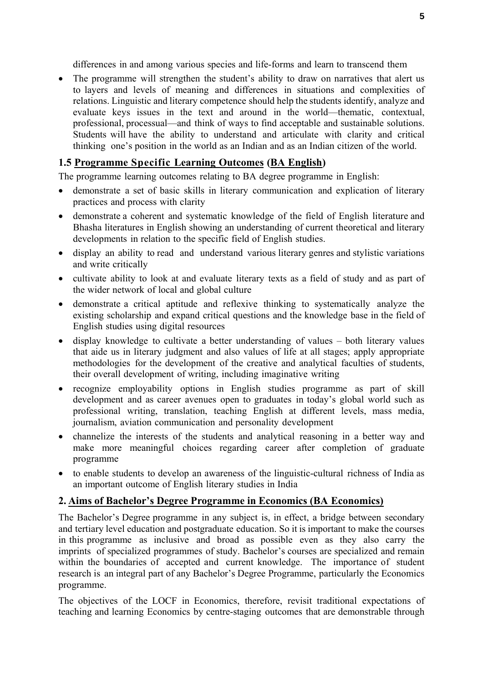differences in and among various species and life-forms and learn to transcend them

• The programme will strengthen the student's ability to draw on narratives that alert us to layers and levels of meaning and differences in situations and complexities of relations. Linguistic and literary competence should help the students identify, analyze and evaluate keys issues in the text and around in the world—thematic, contextual, professional, processual—and think of ways to find acceptable and sustainable solutions. Students will have the ability to understand and articulate with clarity and critical thinking one's position in the world as an Indian and as an Indian citizen of the world.

## **1.5 Programme Specific Learning Outcomes (BA English)**

The programme learning outcomes relating to BA degree programme in English:

- demonstrate a set of basic skills in literary communication and explication of literary practices and process with clarity
- demonstrate a coherent and systematic knowledge of the field of English literature and Bhasha literatures in English showing an understanding of current theoretical and literary developments in relation to the specific field of English studies.
- display an ability to read and understand various literary genres and stylistic variations and write critically
- cultivate ability to look at and evaluate literary texts as a field of study and as part of the wider network of local and global culture
- demonstrate a critical aptitude and reflexive thinking to systematically analyze the existing scholarship and expand critical questions and the knowledge base in the field of English studies using digital resources
- display knowledge to cultivate a better understanding of values both literary values that aide us in literary judgment and also values of life at all stages; apply appropriate methodologies for the development of the creative and analytical faculties of students, their overall development of writing, including imaginative writing
- recognize employability options in English studies programme as part of skill development and as career avenues open to graduates in today's global world such as professional writing, translation, teaching English at different levels, mass media, journalism, aviation communication and personality development
- channelize the interests of the students and analytical reasoning in a better way and make more meaningful choices regarding career after completion of graduate programme
- to enable students to develop an awareness of the linguistic-cultural richness of India as an important outcome of English literary studies in India

## **2. Aims of Bachelor's Degree Programme in Economics (BA Economics)**

The Bachelor's Degree programme in any subject is, in effect, a bridge between secondary and tertiary level education and postgraduate education. So it is important to make the courses in this programme as inclusive and broad as possible even as they also carry the imprints of specialized programmes of study. Bachelor's courses are specialized and remain within the boundaries of accepted and current knowledge. The importance of student research is an integral part of any Bachelor's Degree Programme, particularly the Economics programme.

The objectives of the LOCF in Economics, therefore, revisit traditional expectations of teaching and learning Economics by centre-staging outcomes that are demonstrable through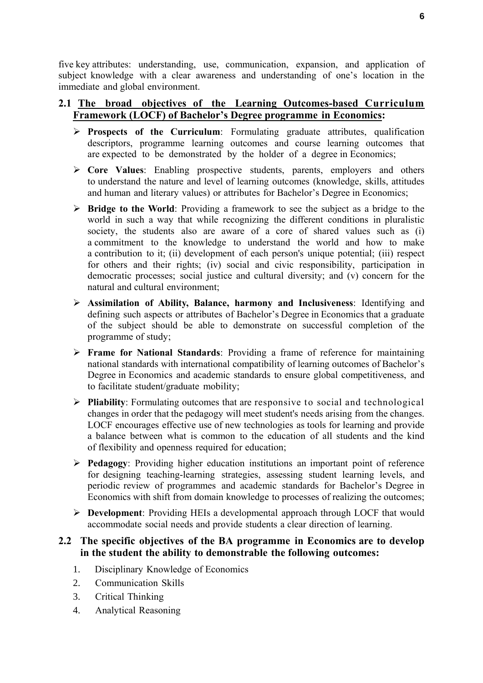five key attributes: understanding, use, communication, expansion, and application of subject knowledge with a clear awareness and understanding of one's location in the immediate and global environment.

## **2.1 The broad objectives of the Learning Outcomes-based Curriculum Framework (LOCF) of Bachelor's Degree programme in Economics:**

- **Prospects of the Curriculum**: Formulating graduate attributes, qualification descriptors, programme learning outcomes and course learning outcomes that are expected to be demonstrated by the holder of a degree in Economics;
- **Core Values**: Enabling prospective students, parents, employers and others to understand the nature and level of learning outcomes (knowledge, skills, attitudes and human and literary values) or attributes for Bachelor's Degree in Economics;
- **Bridge to the World**: Providing a framework to see the subject as a bridge to the world in such a way that while recognizing the different conditions in pluralistic society, the students also are aware of a core of shared values such as (i) a commitment to the knowledge to understand the world and how to make a contribution to it; (ii) development of each person's unique potential; (iii) respect for others and their rights; (iv) social and civic responsibility, participation in democratic processes; social justice and cultural diversity; and (v) concern for the natural and cultural environment;
- **Assimilation of Ability, Balance, harmony and Inclusiveness**: Identifying and defining such aspects or attributes of Bachelor's Degree in Economics that a graduate of the subject should be able to demonstrate on successful completion of the programme of study;
- **Frame for National Standards**: Providing a frame of reference for maintaining national standards with international compatibility of learning outcomes of Bachelor's Degree in Economics and academic standards to ensure global competitiveness, and to facilitate student/graduate mobility;
- **Pliability**: Formulating outcomes that are responsive to social and technological changes in order that the pedagogy will meet student's needs arising from the changes. LOCF encourages effective use of new technologies as tools for learning and provide a balance between what is common to the education of all students and the kind of flexibility and openness required for education;
- **Pedagogy**: Providing higher education institutions an important point of reference for designing teaching-learning strategies, assessing student learning levels, and periodic review of programmes and academic standards for Bachelor's Degree in Economics with shift from domain knowledge to processes of realizing the outcomes;
- **Development**: Providing HEIs a developmental approach through LOCF that would accommodate social needs and provide students a clear direction of learning.

## **2.2 The specific objectives of the BA programme in Economics are to develop in the student the ability to demonstrable the following outcomes:**

- 1. Disciplinary Knowledge of Economics
- 2. Communication Skills
- 3. Critical Thinking
- 4. Analytical Reasoning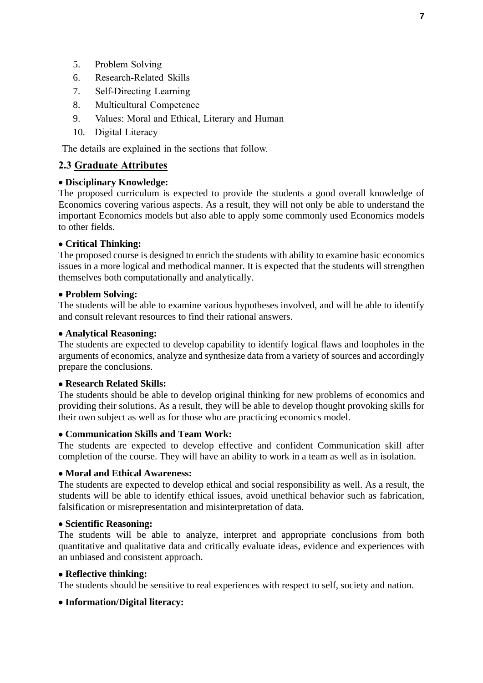- 5. Problem Solving
- 6. Research-Related Skills
- 7. Self-Directing Learning
- 8. Multicultural Competence
- 9. Values: Moral and Ethical, Literary and Human
- 10. Digital Literacy

The details are explained in the sections that follow.

## **2.3 Graduate Attributes**

## **Disciplinary Knowledge:**

The proposed curriculum is expected to provide the students a good overall knowledge of Economics covering various aspects. As a result, they will not only be able to understand the important Economics models but also able to apply some commonly used Economics models to other fields.

## **Critical Thinking:**

The proposed course is designed to enrich the students with ability to examine basic economics issues in a more logical and methodical manner. It is expected that the students will strengthen themselves both computationally and analytically.

## **Problem Solving:**

The students will be able to examine various hypotheses involved, and will be able to identify and consult relevant resources to find their rational answers.

## **Analytical Reasoning:**

The students are expected to develop capability to identify logical flaws and loopholes in the arguments of economics, analyze and synthesize data from a variety of sources and accordingly prepare the conclusions.

## **Research Related Skills:**

The students should be able to develop original thinking for new problems of economics and providing their solutions. As a result, they will be able to develop thought provoking skills for their own subject as well as for those who are practicing economics model.

## **Communication Skills and Team Work:**

The students are expected to develop effective and confident Communication skill after completion of the course. They will have an ability to work in a team as well as in isolation.

## **Moral and Ethical Awareness:**

The students are expected to develop ethical and social responsibility as well. As a result, the students will be able to identify ethical issues, avoid unethical behavior such as fabrication, falsification or misrepresentation and misinterpretation of data.

## **Scientific Reasoning:**

The students will be able to analyze, interpret and appropriate conclusions from both quantitative and qualitative data and critically evaluate ideas, evidence and experiences with an unbiased and consistent approach.

## **Reflective thinking:**

The students should be sensitive to real experiences with respect to self, society and nation.

## **Information/Digital literacy:**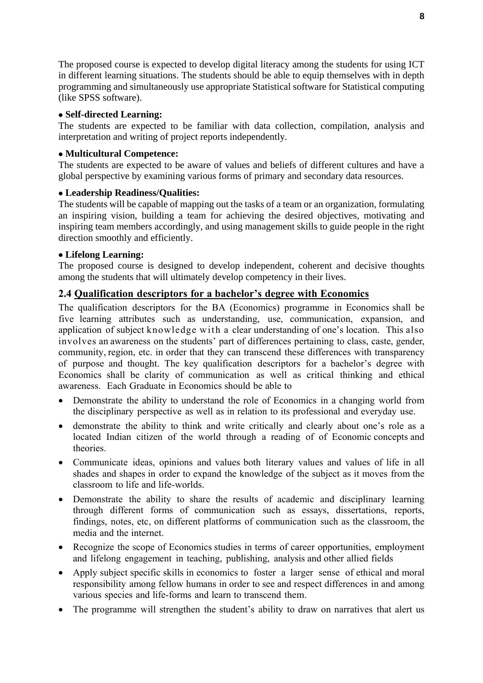The proposed course is expected to develop digital literacy among the students for using ICT in different learning situations. The students should be able to equip themselves with in depth programming and simultaneously use appropriate Statistical software for Statistical computing (like SPSS software).

## **Self-directed Learning:**

The students are expected to be familiar with data collection, compilation, analysis and interpretation and writing of project reports independently.

## **Multicultural Competence:**

The students are expected to be aware of values and beliefs of different cultures and have a global perspective by examining various forms of primary and secondary data resources.

## **Leadership Readiness/Qualities:**

The students will be capable of mapping out the tasks of a team or an organization, formulating an inspiring vision, building a team for achieving the desired objectives, motivating and inspiring team members accordingly, and using management skills to guide people in the right direction smoothly and efficiently.

## **Lifelong Learning:**

The proposed course is designed to develop independent, coherent and decisive thoughts among the students that will ultimately develop competency in their lives.

## **2.4 Qualification descriptors for a bachelor's degree with Economics**

The qualification descriptors for the BA (Economics) programme in Economics shall be five learning attributes such as understanding, use, communication, expansion, and application of subject knowledge with a clear understanding of one's location. This also involves an awareness on the students' part of differences pertaining to class, caste, gender, community, region, etc. in order that they can transcend these differences with transparency of purpose and thought. The key qualification descriptors for a bachelor's degree with Economics shall be clarity of communication as well as critical thinking and ethical awareness. Each Graduate in Economics should be able to

- Demonstrate the ability to understand the role of Economics in a changing world from the disciplinary perspective as well as in relation to its professional and everyday use.
- demonstrate the ability to think and write critically and clearly about one's role as a located Indian citizen of the world through a reading of of Economic concepts and theories.
- Communicate ideas, opinions and values both literary values and values of life in all shades and shapes in order to expand the knowledge of the subject as it moves from the classroom to life and life-worlds.
- Demonstrate the ability to share the results of academic and disciplinary learning through different forms of communication such as essays, dissertations, reports, findings, notes, etc, on different platforms of communication such as the classroom, the media and the internet.
- Recognize the scope of Economics studies in terms of career opportunities, employment and lifelong engagement in teaching, publishing, analysis and other allied fields
- Apply subject specific skills in economics to foster a larger sense of ethical and moral responsibility among fellow humans in order to see and respect differences in and among various species and life-forms and learn to transcend them.
- The programme will strengthen the student's ability to draw on narratives that alert us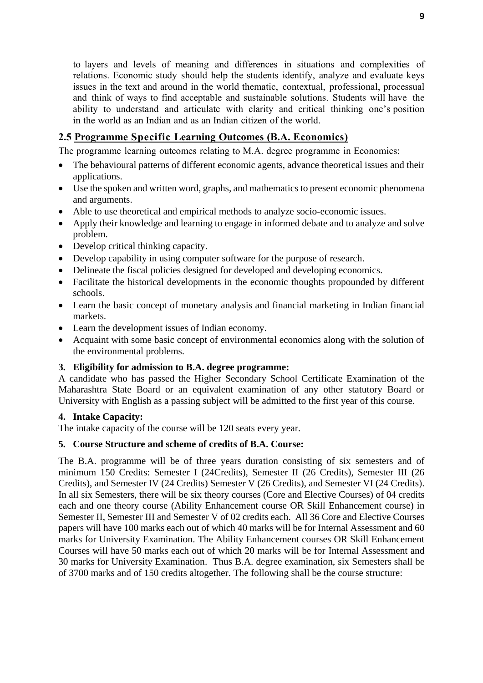to layers and levels of meaning and differences in situations and complexities of relations. Economic study should help the students identify, analyze and evaluate keys issues in the text and around in the world thematic, contextual, professional, processual and think of ways to find acceptable and sustainable solutions. Students will have the ability to understand and articulate with clarity and critical thinking one's position in the world as an Indian and as an Indian citizen of the world.

## **2.5 Programme Specific Learning Outcomes (B.A. Economics)**

The programme learning outcomes relating to M.A. degree programme in Economics:

- The behavioural patterns of different economic agents, advance theoretical issues and their applications.
- Use the spoken and written word, graphs, and mathematics to present economic phenomena and arguments.
- Able to use theoretical and empirical methods to analyze socio-economic issues.
- Apply their knowledge and learning to engage in informed debate and to analyze and solve problem.
- Develop critical thinking capacity.
- Develop capability in using computer software for the purpose of research.
- Delineate the fiscal policies designed for developed and developing economics.
- Facilitate the historical developments in the economic thoughts propounded by different schools.
- Learn the basic concept of monetary analysis and financial marketing in Indian financial markets.
- Learn the development issues of Indian economy.
- Acquaint with some basic concept of environmental economics along with the solution of the environmental problems.

## **3. Eligibility for admission to B.A. degree programme:**

A candidate who has passed the Higher Secondary School Certificate Examination of the Maharashtra State Board or an equivalent examination of any other statutory Board or University with English as a passing subject will be admitted to the first year of this course.

## **4. Intake Capacity:**

The intake capacity of the course will be 120 seats every year.

## **5. Course Structure and scheme of credits of B.A. Course:**

The B.A. programme will be of three years duration consisting of six semesters and of minimum 150 Credits: Semester I (24Credits), Semester II (26 Credits), Semester III (26 Credits), and Semester IV (24 Credits) Semester V (26 Credits), and Semester VI (24 Credits). In all six Semesters, there will be six theory courses (Core and Elective Courses) of 04 credits each and one theory course (Ability Enhancement course OR Skill Enhancement course) in Semester II, Semester III and Semester V of 02 credits each. All 36 Core and Elective Courses papers will have 100 marks each out of which 40 marks will be for Internal Assessment and 60 marks for University Examination. The Ability Enhancement courses OR Skill Enhancement Courses will have 50 marks each out of which 20 marks will be for Internal Assessment and 30 marks for University Examination. Thus B.A. degree examination, six Semesters shall be of 3700 marks and of 150 credits altogether. The following shall be the course structure: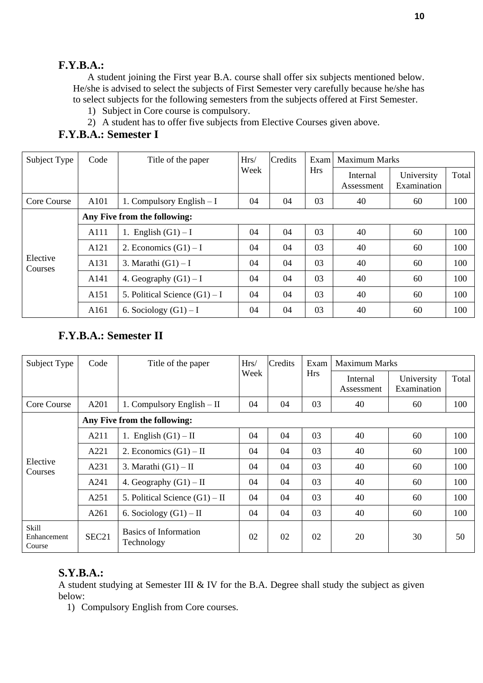## **F.Y.B.A.:**

A student joining the First year B.A. course shall offer six subjects mentioned below. He/she is advised to select the subjects of First Semester very carefully because he/she has to select subjects for the following semesters from the subjects offered at First Semester.

- 1) Subject in Core course is compulsory.
- 2) A student has to offer five subjects from Elective Courses given above.

## **F.Y.B.A.: Semester I**

| Subject Type        | Code             | Title of the paper              | Hrs/ | Credits | Exam<br><b>Hrs</b> | Maximum Marks          |                           |       |  |
|---------------------|------------------|---------------------------------|------|---------|--------------------|------------------------|---------------------------|-------|--|
|                     |                  |                                 | Week |         |                    | Internal<br>Assessment | University<br>Examination | Total |  |
| Core Course         | A <sub>101</sub> | 1. Compulsory English $-I$      | 04   | 04      | 03                 | 40                     | 60                        | 100   |  |
|                     |                  | Any Five from the following:    |      |         |                    |                        |                           |       |  |
|                     | A111             | English $(G1) - I$<br>1.        | 04   | 04      | 03                 | 40                     | 60                        | 100   |  |
|                     | A121             | 2. Economics $(G1) - I$         | 04   | 04      | 03                 | 40                     | 60                        | 100   |  |
| Elective<br>Courses | A131             | 3. Marathi $(G1) - I$           | 04   | 04      | 03                 | 40                     | 60                        | 100   |  |
|                     | A <sub>141</sub> | 4. Geography $(G1) - I$         | 04   | 04      | 03                 | 40                     | 60                        | 100   |  |
|                     | A151             | 5. Political Science $(G1) - I$ | 04   | 04      | 03                 | 40                     | 60                        | 100   |  |
|                     | A161             | 6. Sociology $(G1) - I$         | 04   | 04      | 03                 | 40                     | 60                        | 100   |  |

## **F.Y.B.A.: Semester II**

| Subject Type                   | Code  | Title of the paper                         | Hrs/ | Credits | Exam       |                        | <b>Maximum Marks</b>      |       |  |  |
|--------------------------------|-------|--------------------------------------------|------|---------|------------|------------------------|---------------------------|-------|--|--|
|                                |       |                                            | Week |         | <b>Hrs</b> | Internal<br>Assessment | University<br>Examination | Total |  |  |
| Core Course                    | A201  | 1. Compulsory English $-$ II               | 04   | 04      | 03         | 40                     | 60                        | 100   |  |  |
|                                |       | Any Five from the following:               |      |         |            |                        |                           |       |  |  |
|                                | A211  | 1. English $(G1) - II$                     | 04   | 04      | 03         | 40                     | 60                        | 100   |  |  |
|                                | A221  | 2. Economics $(G1) - II$                   | 04   | 04      | 03         | 40                     | 60                        | 100   |  |  |
| Elective<br>Courses            | A231  | 3. Marathi $(G1) - II$                     | 04   | 04      | 03         | 40                     | 60                        | 100   |  |  |
|                                | A241  | 4. Geography $(G1) - II$                   | 04   | 04      | 03         | 40                     | 60                        | 100   |  |  |
|                                | A251  | 5. Political Science $(G1) - II$           | 04   | 04      | 03         | 40                     | 60                        | 100   |  |  |
|                                | A261  | 6. Sociology $(G1) - II$                   | 04   | 04      | 03         | 40                     | 60                        | 100   |  |  |
| Skill<br>Enhancement<br>Course | SEC21 | <b>Basics of Information</b><br>Technology | 02   | 02      | 02         | 20                     | 30                        | 50    |  |  |

## **S.Y.B.A.:**

A student studying at Semester III & IV for the B.A. Degree shall study the subject as given below:

1) Compulsory English from Core courses.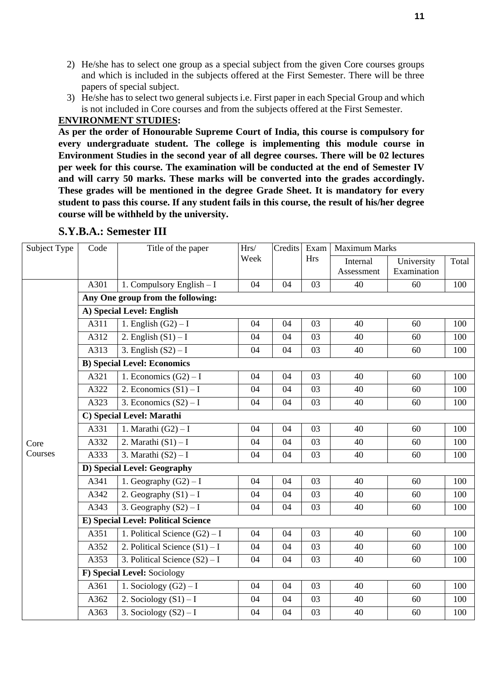- 2) He/she has to select one group as a special subject from the given Core courses groups and which is included in the subjects offered at the First Semester. There will be three papers of special subject.
- 3) He/she has to select two general subjects i.e. First paper in each Special Group and which is not included in Core courses and from the subjects offered at the First Semester.

## **ENVIRONMENT STUDIES:**

**As per the order of Honourable Supreme Court of India, this course is compulsory for every undergraduate student. The college is implementing this module course in Environment Studies in the second year of all degree courses. There will be 02 lectures per week for this course. The examination will be conducted at the end of Semester IV and will carry 50 marks. These marks will be converted into the grades accordingly. These grades will be mentioned in the degree Grade Sheet. It is mandatory for every student to pass this course. If any student fails in this course, the result of his/her degree course will be withheld by the university.**

| Subject Type | Code                              | Title of the paper                         | Hrs/ | Credits | Exam       | <b>Maximum Marks</b> |             |       |  |  |  |
|--------------|-----------------------------------|--------------------------------------------|------|---------|------------|----------------------|-------------|-------|--|--|--|
|              |                                   |                                            | Week |         | <b>Hrs</b> | Internal             | University  | Total |  |  |  |
|              |                                   |                                            |      |         |            | Assessment           | Examination |       |  |  |  |
|              | A301                              | 1. Compulsory English - I                  | 04   | 04      | 03         | 40                   | 60          | 100   |  |  |  |
|              | Any One group from the following: |                                            |      |         |            |                      |             |       |  |  |  |
|              | A) Special Level: English         |                                            |      |         |            |                      |             |       |  |  |  |
|              | A311                              | 1. English $(G2) - I$                      | 04   | 04      | 03         | 40                   | 60          | 100   |  |  |  |
|              | A312                              | 2. English $(S1) - I$                      | 04   | 04      | 03         | 40                   | 60          | 100   |  |  |  |
|              | A313                              | 3. English $(S2) - I$                      | 04   | 04      | 03         | 40                   | 60          | 100   |  |  |  |
|              |                                   | <b>B)</b> Special Level: Economics         |      |         |            |                      |             |       |  |  |  |
|              | A321                              | 1. Economics $(G2) - I$                    | 04   | 04      | 03         | 40                   | 60          | 100   |  |  |  |
|              | A322                              | 2. Economics $(S1) - I$                    | 04   | 04      | 03         | 40                   | 60          | 100   |  |  |  |
|              | A323                              | 3. Economics $(S2) - I$                    | 04   | 04      | 03         | 40                   | 60          | 100   |  |  |  |
|              | C) Special Level: Marathi         |                                            |      |         |            |                      |             |       |  |  |  |
|              | A331                              | 1. Marathi $(G2) - I$                      | 04   | 04      | 03         | 40                   | 60          | 100   |  |  |  |
| Core         | A332                              | 2. Marathi $(S1) - I$                      | 04   | 04      | 03         | 40                   | 60          | 100   |  |  |  |
| Courses      | A333                              | 3. Marathi $(S2) - I$                      | 04   | 04      | 03         | 40                   | 60          | 100   |  |  |  |
|              | D) Special Level: Geography       |                                            |      |         |            |                      |             |       |  |  |  |
|              | A341                              | 1. Geography $(G2) - I$                    | 04   | 04      | 03         | 40                   | 60          | 100   |  |  |  |
|              | A342                              | 2. Geography $(S1) - I$                    | 04   | 04      | 03         | 40                   | 60          | 100   |  |  |  |
|              | A343                              | 3. Geography $(S2) - I$                    | 04   | 04      | 03         | 40                   | 60          | 100   |  |  |  |
|              |                                   | <b>E) Special Level: Political Science</b> |      |         |            |                      |             |       |  |  |  |
|              | A351                              | 1. Political Science $(G2) - I$            | 04   | 04      | 03         | 40                   | 60          | 100   |  |  |  |
|              | A352                              | 2. Political Science $(S1) - I$            | 04   | 04      | 03         | 40                   | 60          | 100   |  |  |  |
|              | A353                              | 3. Political Science $(S2) - I$            | 04   | 04      | 03         | 40                   | 60          | 100   |  |  |  |
|              |                                   | F) Special Level: Sociology                |      |         |            |                      |             |       |  |  |  |
|              | A361                              | 1. Sociology $(G2) - I$                    | 04   | 04      | 03         | 40                   | 60          | 100   |  |  |  |
|              | A362                              | 2. Sociology $(S1) - I$                    | 04   | 04      | 03         | 40                   | 60          | 100   |  |  |  |
|              | A363                              | 3. Sociology $(S2) - I$                    | 04   | 04      | 03         | 40                   | 60          | 100   |  |  |  |

## **S.Y.B.A.: Semester III**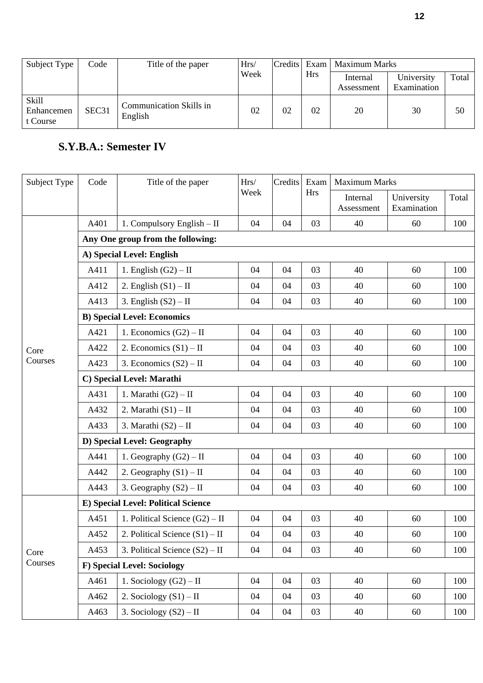| Subject Type                           | Code              | Title of the paper                        | Hrs/ |    |            | Credits Exam   Maximum Marks |                           |       |
|----------------------------------------|-------------------|-------------------------------------------|------|----|------------|------------------------------|---------------------------|-------|
|                                        |                   |                                           | Week |    | <b>Hrs</b> | Internal<br>Assessment       | University<br>Examination | Total |
| <b>Skill</b><br>Enhancemen<br>t Course | SEC <sub>31</sub> | <b>Communication Skills in</b><br>English | 02   | 02 | 02         | 20                           | 30                        | 50    |

# **S.Y.B.A.: Semester IV**

| Subject Type | Code                              | Title of the paper                  | Hrs/ | Credits | Exam       | <b>Maximum Marks</b>   |                           |       |  |  |  |
|--------------|-----------------------------------|-------------------------------------|------|---------|------------|------------------------|---------------------------|-------|--|--|--|
|              |                                   |                                     | Week |         | <b>Hrs</b> | Internal<br>Assessment | University<br>Examination | Total |  |  |  |
|              | A401                              | 1. Compulsory English - II          | 04   | 04      | 03         | 40                     | 60                        | 100   |  |  |  |
|              | Any One group from the following: |                                     |      |         |            |                        |                           |       |  |  |  |
|              |                                   | A) Special Level: English           |      |         |            |                        |                           |       |  |  |  |
|              | A411                              | 1. English $(G2) - II$              | 04   | 04      | 03         | 40                     | 60                        | 100   |  |  |  |
|              | A412                              | 2. English $(S1) - II$              | 04   | 04      | 03         | 40                     | 60                        | 100   |  |  |  |
|              | A413                              | 3. English $(S2) - II$              | 04   | 04      | 03         | 40                     | 60                        | 100   |  |  |  |
|              |                                   | <b>B)</b> Special Level: Economics  |      |         |            |                        |                           |       |  |  |  |
|              | A421                              | 1. Economics $(G2) - II$            | 04   | 04      | 03         | 40                     | 60                        | 100   |  |  |  |
| Core         | A422                              | 2. Economics $(S1) - II$            | 04   | 04      | 03         | 40                     | 60                        | 100   |  |  |  |
| Courses      | A423                              | 3. Economics $(S2) - II$            | 04   | 04      | 03         | 40                     | 60                        | 100   |  |  |  |
|              | C) Special Level: Marathi         |                                     |      |         |            |                        |                           |       |  |  |  |
|              | A431                              | 1. Marathi $(G2) - II$              | 04   | 04      | 03         | 40                     | 60                        | 100   |  |  |  |
|              | A432                              | 2. Marathi $(S1) - II$              | 04   | 04      | 03         | 40                     | 60                        | 100   |  |  |  |
|              | A433                              | 3. Marathi $(S2) - II$              | 04   | 04      | 03         | 40                     | 60                        | 100   |  |  |  |
|              | D) Special Level: Geography       |                                     |      |         |            |                        |                           |       |  |  |  |
|              | A441                              | 1. Geography $(G2) - II$            | 04   | 04      | 03         | 40                     | 60                        | 100   |  |  |  |
|              | A442                              | 2. Geography $(S1) - II$            | 04   | 04      | 03         | 40                     | 60                        | 100   |  |  |  |
|              | A443                              | 3. Geography $(S2) - II$            | 04   | 04      | 03         | 40                     | 60                        | 100   |  |  |  |
|              |                                   | E) Special Level: Political Science |      |         |            |                        |                           |       |  |  |  |
|              | A451                              | 1. Political Science $(G2) - II$    | 04   | 04      | 03         | 40                     | 60                        | 100   |  |  |  |
|              | A452                              | 2. Political Science $(S1) - II$    | 04   | 04      | 03         | 40                     | 60                        | 100   |  |  |  |
| Core         | A453                              | 3. Political Science $(S2) - II$    | 04   | 04      | 03         | 40                     | 60                        | 100   |  |  |  |
| Courses      |                                   | <b>F)</b> Special Level: Sociology  |      |         |            |                        |                           |       |  |  |  |
|              | A461                              | 1. Sociology $(G2) - II$            | 04   | 04      | 03         | 40                     | 60                        | 100   |  |  |  |
|              | A462                              | 2. Sociology $(S1) - II$            | 04   | 04      | 03         | 40                     | 60                        | 100   |  |  |  |
|              | A463                              | 3. Sociology $(S2) - II$            | 04   | 04      | 03         | 40                     | 60                        | 100   |  |  |  |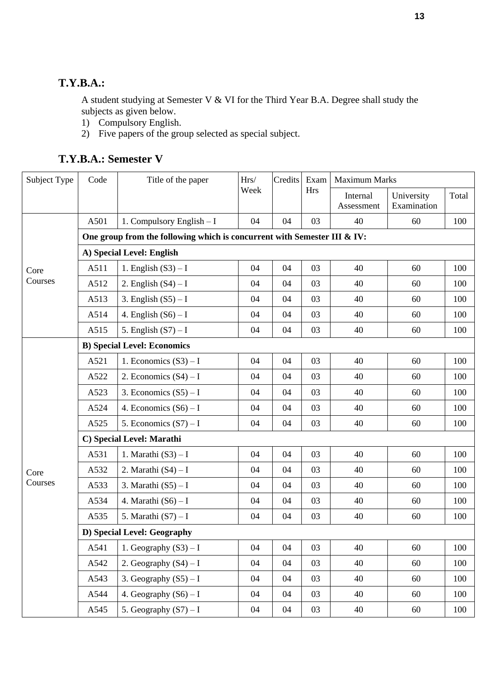## **T.Y.B.A.:**

A student studying at Semester V & VI for the Third Year B.A. Degree shall study the subjects as given below.

- 1) Compulsory English.
- 2) Five papers of the group selected as special subject.

|  | T.Y.B.A.: Semester V |  |
|--|----------------------|--|
|--|----------------------|--|

| Subject Type | Code                      | Title of the paper                                                       | Hrs/ | Credits | Exam       | <b>Maximum Marks</b>   |                           |       |  |  |  |  |
|--------------|---------------------------|--------------------------------------------------------------------------|------|---------|------------|------------------------|---------------------------|-------|--|--|--|--|
|              |                           |                                                                          | Week |         | <b>Hrs</b> | Internal<br>Assessment | University<br>Examination | Total |  |  |  |  |
|              | A501                      | 1. Compulsory English - I                                                | 04   | 04      | 03         | 40                     | 60                        | 100   |  |  |  |  |
|              |                           | One group from the following which is concurrent with Semester III & IV: |      |         |            |                        |                           |       |  |  |  |  |
|              | A) Special Level: English |                                                                          |      |         |            |                        |                           |       |  |  |  |  |
| Core         | A511                      | 1. English $(S3) - I$                                                    | 04   | 04      | 03         | 40                     | 60                        | 100   |  |  |  |  |
| Courses      | A512                      | 2. English $(S4) - I$                                                    | 04   | 04      | 03         | 40                     | 60                        | 100   |  |  |  |  |
|              | A513                      | 3. English $(S5) - I$                                                    | 04   | 04      | 03         | 40                     | 60                        | 100   |  |  |  |  |
|              | A514                      | 4. English $(S6) - I$                                                    | 04   | 04      | 03         | 40                     | 60                        | 100   |  |  |  |  |
|              | A515                      | 5. English $(S7) - I$                                                    | 04   | 04      | 03         | 40                     | 60                        | 100   |  |  |  |  |
|              |                           | <b>B)</b> Special Level: Economics                                       |      |         |            |                        |                           |       |  |  |  |  |
|              | A521                      | 1. Economics $(S3) - I$                                                  | 04   | 04      | 03         | 40                     | 60                        | 100   |  |  |  |  |
|              | A522                      | 2. Economics $(S4) - I$                                                  | 04   | 04      | 03         | 40                     | 60                        | 100   |  |  |  |  |
|              | A523                      | 3. Economics $(S5) - I$                                                  | 04   | 04      | 03         | 40                     | 60                        | 100   |  |  |  |  |
|              | A524                      | 4. Economics $(S6) - I$                                                  | 04   | 04      | 03         | 40                     | 60                        | 100   |  |  |  |  |
|              | A525                      | 5. Economics $(S7) - I$                                                  | 04   | 04      | 03         | 40                     | 60                        | 100   |  |  |  |  |
|              | C) Special Level: Marathi |                                                                          |      |         |            |                        |                           |       |  |  |  |  |
|              | A531                      | 1. Marathi $(S3) - I$                                                    | 04   | 04      | 03         | 40                     | 60                        | 100   |  |  |  |  |
| Core         | A532                      | 2. Marathi $(S4) - I$                                                    | 04   | 04      | 03         | 40                     | 60                        | 100   |  |  |  |  |
| Courses      | A533                      | 3. Marathi $(S5) - I$                                                    | 04   | 04      | 03         | 40                     | 60                        | 100   |  |  |  |  |
|              | A534                      | 4. Marathi $(S6) - I$                                                    | 04   | 04      | 03         | 40                     | 60                        | 100   |  |  |  |  |
|              | A535                      | 5. Marathi $(S7) - I$                                                    | 04   | 04      | 03         | 40                     | 60                        | 100   |  |  |  |  |
|              |                           | D) Special Level: Geography                                              |      |         |            |                        |                           |       |  |  |  |  |
|              | A541                      | 1. Geography $(S3) - I$                                                  | 04   | 04      | 03         | 40                     | 60                        | 100   |  |  |  |  |
|              | A542                      | 2. Geography $(S4) - I$                                                  | 04   | 04      | 03         | 40                     | 60                        | 100   |  |  |  |  |
|              | A543                      | 3. Geography $(S5) - I$                                                  | 04   | 04      | 03         | 40                     | 60                        | 100   |  |  |  |  |
|              | A544                      | 4. Geography $(S6) - I$                                                  | 04   | 04      | 03         | 40                     | 60                        | 100   |  |  |  |  |
|              | A545                      | 5. Geography $(S7) - I$                                                  | 04   | 04      | 03         | 40                     | 60                        | 100   |  |  |  |  |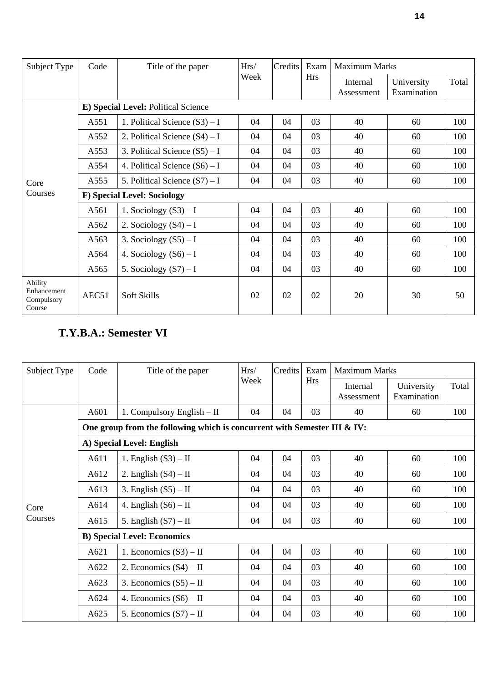| Subject Type                                   | Code                               | Title of the paper                  | Hrs/ | Credits | Exam       | <b>Maximum Marks</b>   |                           |       |  |  |
|------------------------------------------------|------------------------------------|-------------------------------------|------|---------|------------|------------------------|---------------------------|-------|--|--|
|                                                |                                    |                                     | Week |         | <b>Hrs</b> | Internal<br>Assessment | University<br>Examination | Total |  |  |
|                                                |                                    | E) Special Level: Political Science |      |         |            |                        |                           |       |  |  |
|                                                | A551                               | 1. Political Science $(S3) - I$     | 04   | 04      | 03         | 40                     | 60                        | 100   |  |  |
|                                                | A552                               | 2. Political Science $(S4) - I$     | 04   | 04      | 03         | 40                     | 60                        | 100   |  |  |
|                                                | A553                               | 3. Political Science $(S5) - I$     | 04   | 04      | 03         | 40                     | 60                        | 100   |  |  |
|                                                | A554                               | 4. Political Science $(S6) - I$     | 04   | 04      | 03         | 40                     | 60                        | 100   |  |  |
| Core                                           | A555                               | 5. Political Science $(S7) - I$     | 04   | 04      | 03         | 40                     | 60                        | 100   |  |  |
| Courses                                        | <b>F)</b> Special Level: Sociology |                                     |      |         |            |                        |                           |       |  |  |
|                                                | A561                               | 1. Sociology $(S3) - I$             | 04   | 04      | 03         | 40                     | 60                        | 100   |  |  |
|                                                | A562                               | 2. Sociology $(S4) - I$             | 04   | 04      | 03         | 40                     | 60                        | 100   |  |  |
|                                                | A563                               | 3. Sociology $(S5) - I$             | 04   | 04      | 03         | 40                     | 60                        | 100   |  |  |
|                                                | A564                               | 4. Sociology $(S6) - I$             | 04   | 04      | 03         | 40                     | 60                        | 100   |  |  |
|                                                | A565                               | 5. Sociology $(S7) - I$             | 04   | 04      | 03         | 40                     | 60                        | 100   |  |  |
| Ability<br>Enhancement<br>Compulsory<br>Course | AEC51                              | Soft Skills                         | 02   | 02      | 02         | 20                     | 30                        | 50    |  |  |

# **T.Y.B.A.: Semester VI**

| Subject Type | Code                                                                    | Title of the paper                                                       | Hrs/ | Credits | Exam       | <b>Maximum Marks</b>   |                           |       |  |  |  |  |
|--------------|-------------------------------------------------------------------------|--------------------------------------------------------------------------|------|---------|------------|------------------------|---------------------------|-------|--|--|--|--|
|              |                                                                         |                                                                          | Week |         | <b>Hrs</b> | Internal<br>Assessment | University<br>Examination | Total |  |  |  |  |
|              | A601<br>1. Compulsory English - II<br>03<br>40<br>100<br>04<br>04<br>60 |                                                                          |      |         |            |                        |                           |       |  |  |  |  |
|              |                                                                         | One group from the following which is concurrent with Semester III & IV: |      |         |            |                        |                           |       |  |  |  |  |
|              |                                                                         | A) Special Level: English                                                |      |         |            |                        |                           |       |  |  |  |  |
|              | A611                                                                    | 1. English $(S3) - II$                                                   | 04   | 04      | 03         | 40                     | 60                        | 100   |  |  |  |  |
|              | A612                                                                    | 2. English $(S4) - II$                                                   | 04   | 04      | 03         | 40                     | 60                        | 100   |  |  |  |  |
|              | A613                                                                    | 3. English $(S5) - II$                                                   | 04   | 04      | 03         | 40                     | 60                        | 100   |  |  |  |  |
| Core         | A614                                                                    | 4. English $(S6) - II$                                                   | 04   | 04      | 03         | 40                     | 60                        | 100   |  |  |  |  |
| Courses      | A615                                                                    | 5. English $(S7) - II$                                                   | 04   | 04      | 03         | 40                     | 60                        | 100   |  |  |  |  |
|              | <b>B) Special Level: Economics</b>                                      |                                                                          |      |         |            |                        |                           |       |  |  |  |  |
|              | A621                                                                    | 1. Economics $(S3) - II$                                                 | 04   | 04      | 03         | 40                     | 60                        | 100   |  |  |  |  |
|              | A622                                                                    | 2. Economics $(S4) - II$                                                 | 04   | 04      | 03         | 40                     | 60                        | 100   |  |  |  |  |
|              | A623                                                                    | 3. Economics $(S5) - II$                                                 | 04   | 04      | 03         | 40                     | 60                        | 100   |  |  |  |  |
|              | A624                                                                    | 4. Economics $(S6) - II$                                                 | 04   | 04      | 03         | 40                     | 60                        | 100   |  |  |  |  |
|              | A625                                                                    | 5. Economics $(S7) - II$                                                 | 04   | 04      | 03         | 40                     | 60                        | 100   |  |  |  |  |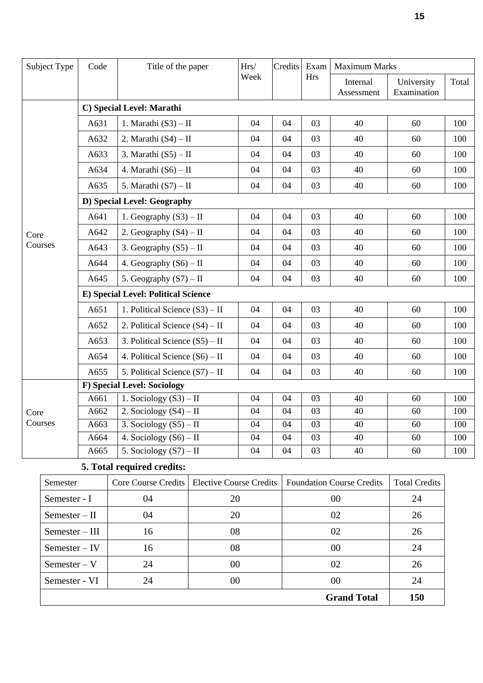| Subject Type | Code                                | Title of the paper                 | Hrs/ | Credits | Exam | <b>Maximum Marks</b>   |                           |       |  |  |  |  |
|--------------|-------------------------------------|------------------------------------|------|---------|------|------------------------|---------------------------|-------|--|--|--|--|
|              |                                     |                                    | Week |         | Hrs  | Internal<br>Assessment | University<br>Examination | Total |  |  |  |  |
|              |                                     | C) Special Level: Marathi          |      |         |      |                        |                           |       |  |  |  |  |
|              | A631                                | 1. Marathi $(S3) - II$             | 04   | 04      | 03   | 40                     | 60                        | 100   |  |  |  |  |
|              | A632                                | 2. Marathi $(S4) - II$             | 04   | 04      | 03   | 40                     | 60                        | 100   |  |  |  |  |
|              | A633                                | 3. Marathi $(S5) - II$             | 04   | 04      | 03   | 40                     | 60                        | 100   |  |  |  |  |
|              | A634                                | 4. Marathi $(S6) - II$             | 04   | 04      | 03   | 40                     | 60                        | 100   |  |  |  |  |
|              | A635                                | 5. Marathi $(S7) - II$             | 04   | 04      | 03   | 40                     | 60                        | 100   |  |  |  |  |
|              |                                     | D) Special Level: Geography        |      |         |      |                        |                           |       |  |  |  |  |
|              | A641                                | 1. Geography $(S3) - II$           | 04   | 04      | 03   | 40                     | 60                        | 100   |  |  |  |  |
| Core         | A642                                | 2. Geography $(S4) - II$           | 04   | 04      | 03   | 40                     | 60                        | 100   |  |  |  |  |
| Courses      | A643                                | 3. Geography $(S5) - II$           | 04   | 04      | 03   | 40                     | 60                        | 100   |  |  |  |  |
|              | A644                                | 4. Geography $(S6) - II$           | 04   | 04      | 03   | 40                     | 60                        | 100   |  |  |  |  |
|              | A645                                | 5. Geography $(S7) - II$           | 04   | 04      | 03   | 40                     | 60                        | 100   |  |  |  |  |
|              | E) Special Level: Political Science |                                    |      |         |      |                        |                           |       |  |  |  |  |
|              | A651                                | 1. Political Science $(S3) - II$   | 04   | 04      | 03   | 40                     | 60                        | 100   |  |  |  |  |
|              | A652                                | 2. Political Science $(S4) - II$   | 04   | 04      | 03   | 40                     | 60                        | 100   |  |  |  |  |
|              | A653                                | 3. Political Science $(S5) - II$   | 04   | 04      | 03   | 40                     | 60                        | 100   |  |  |  |  |
|              | A654                                | 4. Political Science $(S6) - II$   | 04   | 04      | 03   | 40                     | 60                        | 100   |  |  |  |  |
|              | A655                                | 5. Political Science $(S7) - II$   | 04   | 04      | 03   | 40                     | 60                        | 100   |  |  |  |  |
|              |                                     | <b>F)</b> Special Level: Sociology |      |         |      |                        |                           |       |  |  |  |  |
|              | A661                                | 1. Sociology $(S3) - II$           | 04   | 04      | 03   | 40                     | 60                        | 100   |  |  |  |  |
| Core         | A662                                | 2. Sociology $(S4) - II$           | 04   | 04      | 03   | 40                     | 60                        | 100   |  |  |  |  |
| Courses      | A663                                | 3. Sociology $(S5) - II$           | 04   | 04      | 03   | 40                     | 60                        | 100   |  |  |  |  |
|              | A664                                | 4. Sociology $(S6) - II$           | 04   | 04      | 03   | 40                     | 60                        | 100   |  |  |  |  |
|              | A665                                | 5. Sociology $(S7) - II$           | 04   | 04      | 03   | 40                     | 60                        | 100   |  |  |  |  |

## **5. Total required credits:**

| Semester         |    | Core Course Credits   Elective Course Credits | <b>Foundation Course Credits</b> | <b>Total Credits</b> |
|------------------|----|-----------------------------------------------|----------------------------------|----------------------|
| Semester - I     | 04 | 20                                            | 00                               | 24                   |
| $Semester - II$  | 04 | 20                                            | 02                               | 26                   |
| $Semester - III$ | 16 | 08                                            | 02                               | 26                   |
| $Semester - IV$  | 16 | 08                                            | 00                               | 24                   |
| $Semester-V$     | 24 | 00                                            | 02                               | 26                   |
| Semester - VI    | 24 | 00                                            | 00                               | 24                   |
|                  |    |                                               | <b>Grand Total</b>               | 150                  |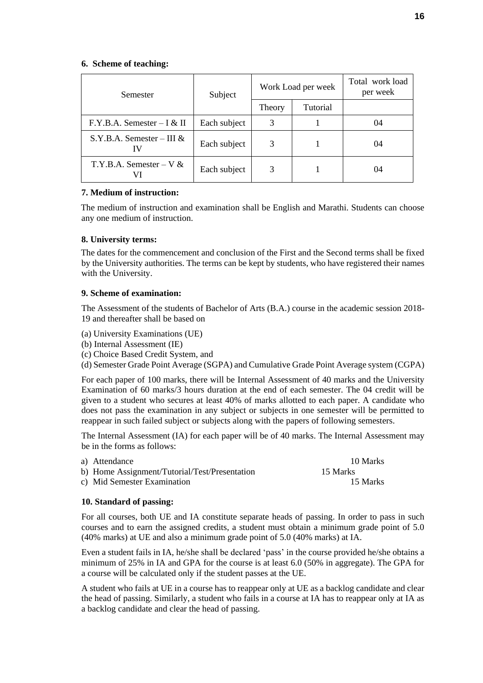#### **6. Scheme of teaching:**

| Semester                      | Subject      |        | Work Load per week | Total work load<br>per week |
|-------------------------------|--------------|--------|--------------------|-----------------------------|
|                               |              | Theory | Tutorial           |                             |
| $F.Y.B.A.$ Semester $-I & II$ | Each subject | 3      |                    | 04                          |
| S.Y.B.A. Semester – III $&$   | Each subject | 3      |                    | 04                          |
| T.Y.B.A. Semester – $V \&$    | Each subject | 3      |                    | 04                          |

#### **7. Medium of instruction:**

The medium of instruction and examination shall be English and Marathi. Students can choose any one medium of instruction.

#### **8. University terms:**

The dates for the commencement and conclusion of the First and the Second terms shall be fixed by the University authorities. The terms can be kept by students, who have registered their names with the University.

#### **9. Scheme of examination:**

The Assessment of the students of Bachelor of Arts (B.A.) course in the academic session 2018- 19 and thereafter shall be based on

- (a) University Examinations (UE)
- (b) Internal Assessment (IE)
- (c) Choice Based Credit System, and

(d) Semester Grade Point Average (SGPA) and Cumulative Grade Point Average system (CGPA)

For each paper of 100 marks, there will be Internal Assessment of 40 marks and the University Examination of 60 marks/3 hours duration at the end of each semester. The 04 credit will be given to a student who secures at least 40% of marks allotted to each paper. A candidate who does not pass the examination in any subject or subjects in one semester will be permitted to reappear in such failed subject or subjects along with the papers of following semesters.

The Internal Assessment (IA) for each paper will be of 40 marks. The Internal Assessment may be in the forms as follows:

| a) Attendance                                 | 10 Marks |
|-----------------------------------------------|----------|
| b) Home Assignment/Tutorial/Test/Presentation | 15 Marks |
| c) Mid Semester Examination                   | 15 Marks |

## **10. Standard of passing:**

For all courses, both UE and IA constitute separate heads of passing. In order to pass in such courses and to earn the assigned credits, a student must obtain a minimum grade point of 5.0 (40% marks) at UE and also a minimum grade point of 5.0 (40% marks) at IA.

Even a student fails in IA, he/she shall be declared 'pass' in the course provided he/she obtains a minimum of 25% in IA and GPA for the course is at least 6.0 (50% in aggregate). The GPA for a course will be calculated only if the student passes at the UE.

A student who fails at UE in a course has to reappear only at UE as a backlog candidate and clear the head of passing. Similarly, a student who fails in a course at IA has to reappear only at IA as a backlog candidate and clear the head of passing.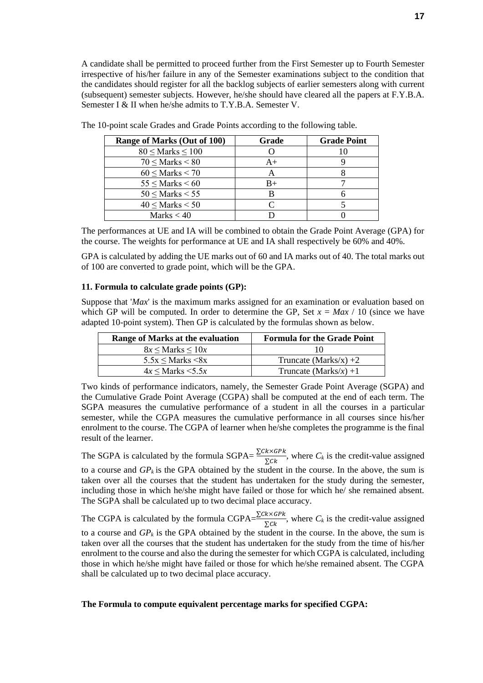A candidate shall be permitted to proceed further from the First Semester up to Fourth Semester irrespective of his/her failure in any of the Semester examinations subject to the condition that the candidates should register for all the backlog subjects of earlier semesters along with current (subsequent) semester subjects. However, he/she should have cleared all the papers at F.Y.B.A. Semester I & II when he/she admits to T.Y.B.A. Semester V.

| Range of Marks (Out of 100) | Grade | <b>Grade Point</b> |
|-----------------------------|-------|--------------------|
| $80 \leq$ Marks $\leq 100$  |       |                    |
| $70 \leq$ Marks $\leq 80$   | A+    |                    |
| $60 \leq$ Marks $< 70$      |       |                    |
| $55 \leq$ Marks $\leq 60$   | $B+$  |                    |
| $50 \leq$ Marks $< 55$      |       |                    |
| $40 \leq$ Marks $< 50$      |       |                    |
| Marks $<$ 40                |       |                    |

The 10-point scale Grades and Grade Points according to the following table.

The performances at UE and IA will be combined to obtain the Grade Point Average (GPA) for the course. The weights for performance at UE and IA shall respectively be 60% and 40%.

GPA is calculated by adding the UE marks out of 60 and IA marks out of 40. The total marks out of 100 are converted to grade point, which will be the GPA.

#### **11. Formula to calculate grade points (GP):**

Suppose that '*Max*' is the maximum marks assigned for an examination or evaluation based on which GP will be computed. In order to determine the GP, Set  $x = Max / 10$  (since we have adapted 10-point system). Then GP is calculated by the formulas shown as below.

| Range of Marks at the evaluation | <b>Formula for the Grade Point</b> |
|----------------------------------|------------------------------------|
| $8x \leq$ Marks $\leq 10x$       | 10                                 |
| $5.5x \leq$ Marks $\leq 8x$      | Truncate (Marks/x) $+2$            |
| $4x \leq$ Marks $\leq 5.5x$      | Truncate (Marks/x) +1              |

Two kinds of performance indicators, namely, the Semester Grade Point Average (SGPA) and the Cumulative Grade Point Average (CGPA) shall be computed at the end of each term. The SGPA measures the cumulative performance of a student in all the courses in a particular semester, while the CGPA measures the cumulative performance in all courses since his/her enrolment to the course. The CGPA of learner when he/she completes the programme is the final result of the learner.

The SGPA is calculated by the formula SGPA= $\frac{\sum C k \times G P k}{\sum C k}$ , where  $C_k$  is the credit-value assigned to a course and  $GP_k$  is the GPA obtained by the student in the course. In the above, the sum is taken over all the courses that the student has undertaken for the study during the semester, including those in which he/she might have failed or those for which he/ she remained absent. The SGPA shall be calculated up to two decimal place accuracy.

The CGPA is calculated by the formula CGPA= $\frac{\sum C k \times G P k}{\sum C k}$ , where  $C_k$  is the credit-value assigned to a course and  $GP_k$  is the GPA obtained by the student in the course. In the above, the sum is taken over all the courses that the student has undertaken for the study from the time of his/her enrolment to the course and also the during the semester for which CGPA is calculated, including those in which he/she might have failed or those for which he/she remained absent. The CGPA shall be calculated up to two decimal place accuracy.

#### **The Formula to compute equivalent percentage marks for specified CGPA:**